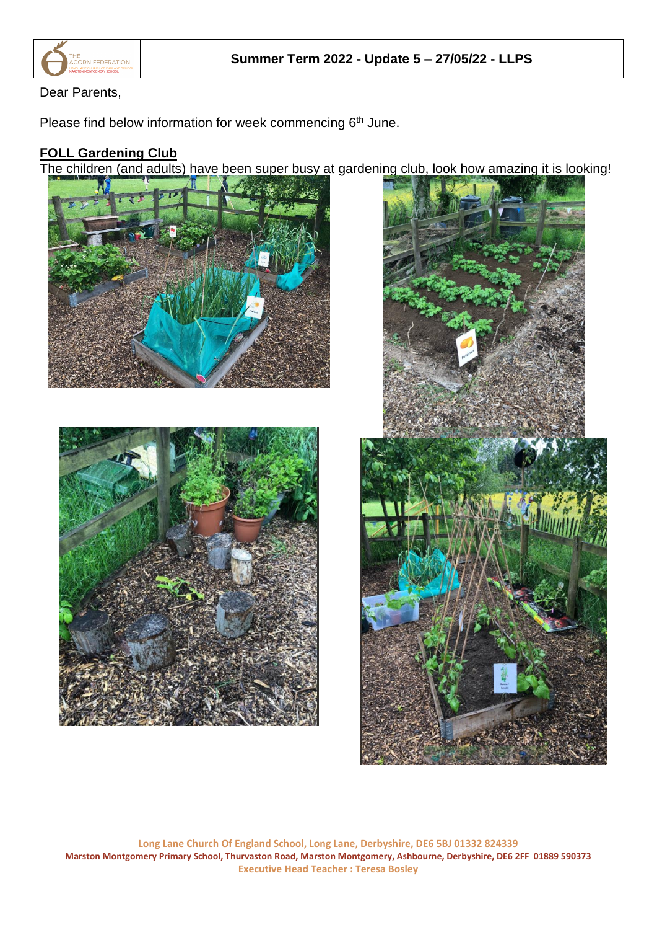

## Dear Parents,

Please find below information for week commencing 6<sup>th</sup> June.

## **FOLL Gardening Club**

The children (and adults) have been super busy at gardening club, look how amazing it is looking!







**Long Lane Church Of England School, Long Lane, Derbyshire, DE6 5BJ 01332 824339 Marston Montgomery Primary School, Thurvaston Road, Marston Montgomery, Ashbourne, Derbyshire, DE6 2FF 01889 590373 Executive Head Teacher : Teresa Bosley**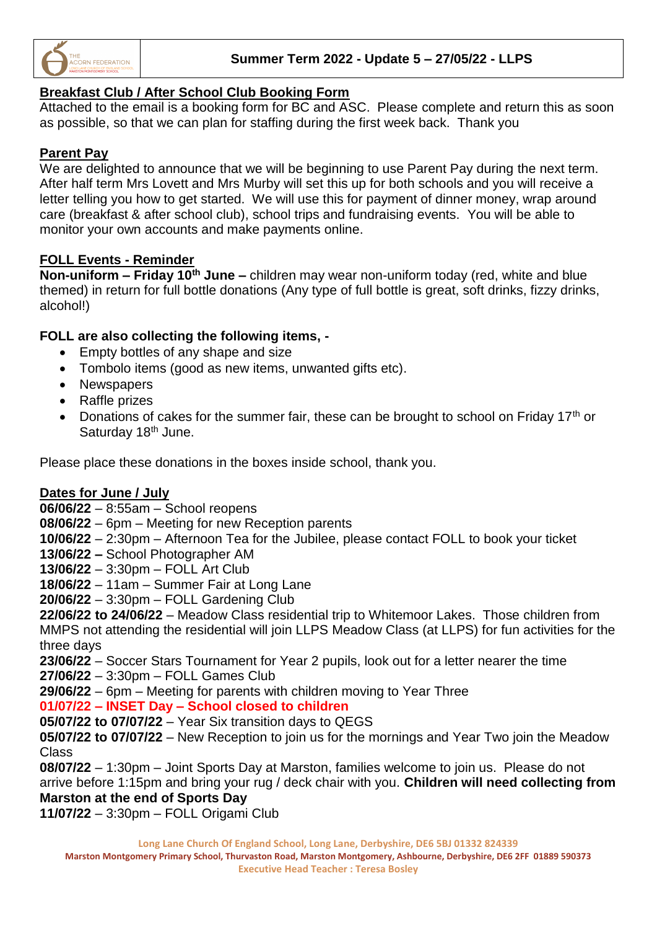

## **Breakfast Club / After School Club Booking Form**

Attached to the email is a booking form for BC and ASC. Please complete and return this as soon as possible, so that we can plan for staffing during the first week back. Thank you

## **Parent Pay**

We are delighted to announce that we will be beginning to use Parent Pay during the next term. After half term Mrs Lovett and Mrs Murby will set this up for both schools and you will receive a letter telling you how to get started. We will use this for payment of dinner money, wrap around care (breakfast & after school club), school trips and fundraising events. You will be able to monitor your own accounts and make payments online.

#### **FOLL Events - Reminder**

**Non-uniform – Friday 10th June –** children may wear non-uniform today (red, white and blue themed) in return for full bottle donations (Any type of full bottle is great, soft drinks, fizzy drinks, alcohol!)

## **FOLL are also collecting the following items, -**

- Empty bottles of any shape and size
- Tombolo items (good as new items, unwanted gifts etc).
- Newspapers
- Raffle prizes
- Donations of cakes for the summer fair, these can be brought to school on Friday 17<sup>th</sup> or Saturday 18<sup>th</sup> June.

Please place these donations in the boxes inside school, thank you.

#### **Dates for June / July**

**06/06/22** – 8:55am – School reopens

**08/06/22** – 6pm – Meeting for new Reception parents

**10/06/22** – 2:30pm – Afternoon Tea for the Jubilee, please contact FOLL to book your ticket

**13/06/22 –** School Photographer AM

**13/06/22** – 3:30pm – FOLL Art Club

**18/06/22** – 11am – Summer Fair at Long Lane

**20/06/22** – 3:30pm – FOLL Gardening Club

**22/06/22 to 24/06/22** – Meadow Class residential trip to Whitemoor Lakes. Those children from MMPS not attending the residential will join LLPS Meadow Class (at LLPS) for fun activities for the three days

**23/06/22** – Soccer Stars Tournament for Year 2 pupils, look out for a letter nearer the time **27/06/22** – 3:30pm – FOLL Games Club

**29/06/22** – 6pm – Meeting for parents with children moving to Year Three

## **01/07/22 – INSET Day – School closed to children**

**05/07/22 to 07/07/22** – Year Six transition days to QEGS

**05/07/22 to 07/07/22** – New Reception to join us for the mornings and Year Two join the Meadow Class

**08/07/22** – 1:30pm – Joint Sports Day at Marston, families welcome to join us. Please do not arrive before 1:15pm and bring your rug / deck chair with you. **Children will need collecting from Marston at the end of Sports Day**

**11/07/22** – 3:30pm – FOLL Origami Club

**Long Lane Church Of England School, Long Lane, Derbyshire, DE6 5BJ 01332 824339**

**Marston Montgomery Primary School, Thurvaston Road, Marston Montgomery, Ashbourne, Derbyshire, DE6 2FF 01889 590373 Executive Head Teacher : Teresa Bosley**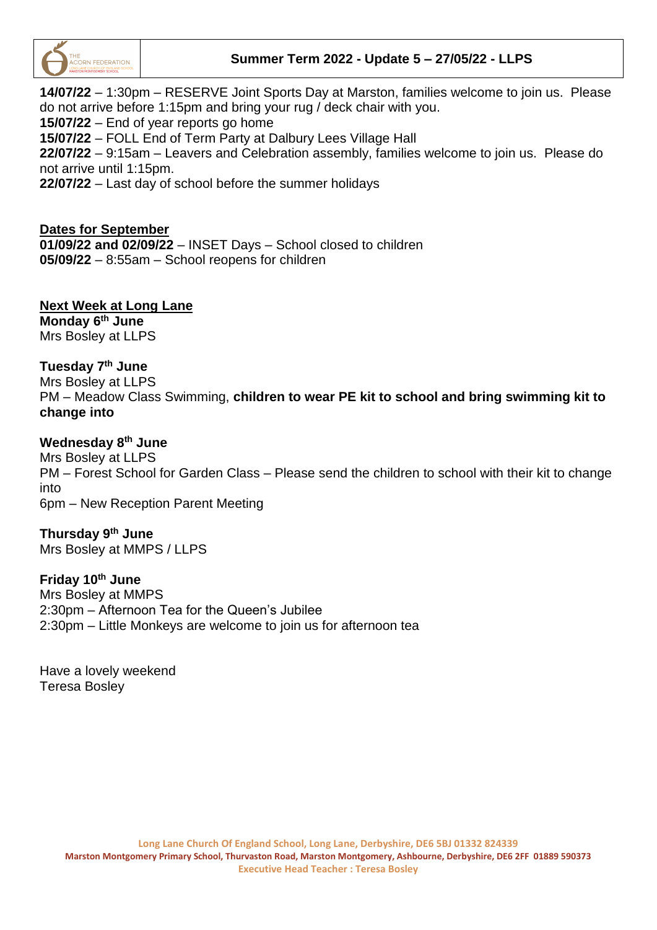

### **Summer Term 2022 - Update 5 – 27/05/22 - LLPS**

**14/07/22** – 1:30pm – RESERVE Joint Sports Day at Marston, families welcome to join us. Please do not arrive before 1:15pm and bring your rug / deck chair with you. **15/07/22** – End of year reports go home **15/07/22** – FOLL End of Term Party at Dalbury Lees Village Hall **22/07/22** – 9:15am – Leavers and Celebration assembly, families welcome to join us. Please do not arrive until 1:15pm. **22/07/22** – Last day of school before the summer holidays

#### **Dates for September**

**01/09/22 and 02/09/22** – INSET Days – School closed to children **05/09/22** – 8:55am – School reopens for children

## **Next Week at Long Lane**

**Monday 6 th June** Mrs Bosley at LLPS

#### **Tuesday 7 th June**

Mrs Bosley at LLPS PM – Meadow Class Swimming, **children to wear PE kit to school and bring swimming kit to change into**

#### **Wednesday 8 th June**

Mrs Bosley at LLPS PM – Forest School for Garden Class – Please send the children to school with their kit to change into 6pm – New Reception Parent Meeting

#### **Thursday 9 th June**

Mrs Bosley at MMPS / LLPS

#### **Friday 10th June**

Mrs Bosley at MMPS 2:30pm – Afternoon Tea for the Queen's Jubilee 2:30pm – Little Monkeys are welcome to join us for afternoon tea

Have a lovely weekend Teresa Bosley